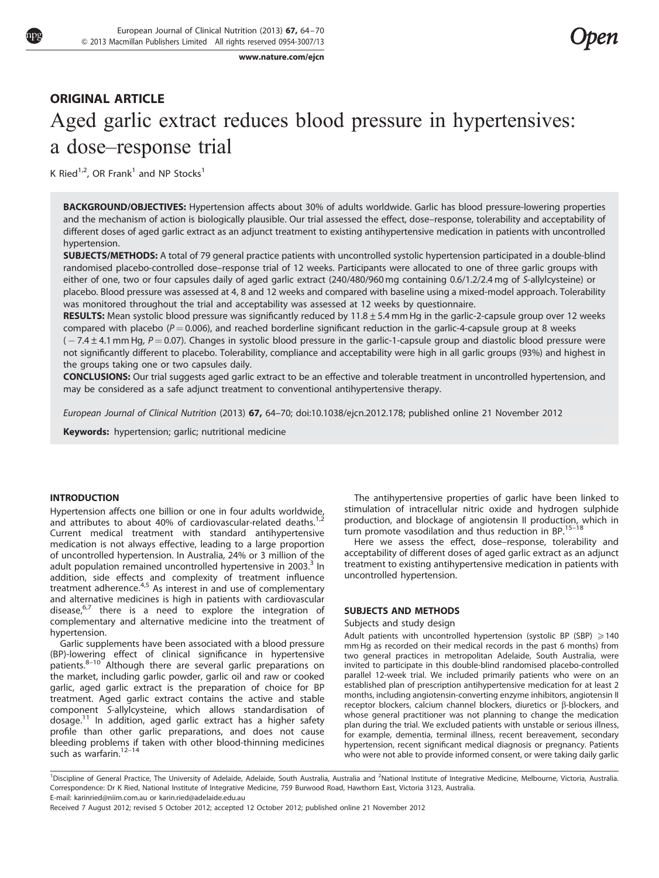[www.nature.com/ejcn](http://www.nature.com/ejcn)

# ORIGINAL ARTICLE Aged garlic extract reduces blood pressure in hypertensives: a dose–response trial

K Ried<sup>1,2</sup>, OR Frank<sup>1</sup> and NP Stocks<sup>1</sup>

BACKGROUND/OBJECTIVES: Hypertension affects about 30% of adults worldwide. Garlic has blood pressure-lowering properties and the mechanism of action is biologically plausible. Our trial assessed the effect, dose–response, tolerability and acceptability of different doses of aged garlic extract as an adjunct treatment to existing antihypertensive medication in patients with uncontrolled hypertension.

SUBJECTS/METHODS: A total of 79 general practice patients with uncontrolled systolic hypertension participated in a double-blind randomised placebo-controlled dose–response trial of 12 weeks. Participants were allocated to one of three garlic groups with either of one, two or four capsules daily of aged garlic extract (240/480/960 mg containing 0.6/1.2/2.4 mg of S-allylcysteine) or placebo. Blood pressure was assessed at 4, 8 and 12 weeks and compared with baseline using a mixed-model approach. Tolerability was monitored throughout the trial and acceptability was assessed at 12 weeks by questionnaire.

RESULTS: Mean systolic blood pressure was significantly reduced by 11.8 ± 5.4 mm Hg in the garlic-2-capsule group over 12 weeks compared with placebo ( $P = 0.006$ ), and reached borderline significant reduction in the garlic-4-capsule group at 8 weeks

 $(-7.4 \pm 4.1$  mm Hg,  $P = 0.07$ ). Changes in systolic blood pressure in the garlic-1-capsule group and diastolic blood pressure were not significantly different to placebo. Tolerability, compliance and acceptability were high in all garlic groups (93%) and highest in the groups taking one or two capsules daily.

CONCLUSIONS: Our trial suggests aged garlic extract to be an effective and tolerable treatment in uncontrolled hypertension, and may be considered as a safe adjunct treatment to conventional antihypertensive therapy.

European Journal of Clinical Nutrition (2013) 67, 64–70; doi[:10.1038/ejcn.2012.178;](http://dx.doi.org/10.1038/ejcn.2012.178) published online 21 November 2012

Keywords: hypertension; garlic; nutritional medicine

# INTRODUCTION

Hypertension affects one billion or one in four adults worldwide, and attributes to about 40% of cardiovascular-related deaths.<sup>[1,2](#page-5-0)</sup> Current medical treatment with standard antihypertensive medication is not always effective, leading to a large proportion of uncontrolled hypertension. In Australia, 24% or 3 million of the adult population remained uncontrolled hypertensive in 200[3](#page-5-0). $3$  In addition, side effects and complexity of treatment influence treatment adherence.<sup>[4,5](#page-5-0)</sup> As interest in and use of complementary and alternative medicines is high in patients with cardiovascular disease, $6,7$  there is a need to explore the integration of complementary and alternative medicine into the treatment of hypertension.

Garlic supplements have been associated with a blood pressure (BP)-lowering effect of clinical significance in hypertensive patients.<sup>8-10</sup> Although there are several garlic preparations on the market, including garlic powder, garlic oil and raw or cooked garlic, aged garlic extract is the preparation of choice for BP treatment. Aged garlic extract contains the active and stable component S-allylcysteine, which allows standardisation of  $d$ osage.<sup>11</sup> In addition, aged garlic extract has a higher safety profile than other garlic preparations, and does not cause bleeding problems if taken with other blood-thinning medicines such as warfarin.<sup>[12–14](#page-6-0)</sup>

The antihypertensive properties of garlic have been linked to stimulation of intracellular nitric oxide and hydrogen sulphide production, and blockage of angiotensin II production, which in turn promote vasodilation and thus reduction in BP.<sup>[15–18](#page-6-0)</sup>

Here we assess the effect, dose–response, tolerability and acceptability of different doses of aged garlic extract as an adjunct treatment to existing antihypertensive medication in patients with uncontrolled hypertension.

#### SUBJECTS AND METHODS

#### Subjects and study design

Adult patients with uncontrolled hypertension (systolic BP (SBP)  $\geq 140$ mm Hg as recorded on their medical records in the past 6 months) from two general practices in metropolitan Adelaide, South Australia, were invited to participate in this double-blind randomised placebo-controlled parallel 12-week trial. We included primarily patients who were on an established plan of prescription antihypertensive medication for at least 2 months, including angiotensin-converting enzyme inhibitors, angiotensin II receptor blockers, calcium channel blockers, diuretics or  $\beta$ -blockers, and whose general practitioner was not planning to change the medication plan during the trial. We excluded patients with unstable or serious illness, for example, dementia, terminal illness, recent bereavement, secondary hypertension, recent significant medical diagnosis or pregnancy. Patients who were not able to provide informed consent, or were taking daily garlic

<sup>1</sup>Discipline of General Practice, The University of Adelaide, Adelaide, South Australia, Australia and <sup>2</sup>National Institute of Integrative Medicine, Melbourne, Victoria, Australia. Correspondence: Dr K Ried, National Institute of Integrative Medicine, 759 Burwood Road, Hawthorn East, Victoria 3123, Australia. E-mail: [karinried@niim.com.au](mailto:karinried@niim.com.au) or [karin.ried@adelaide.edu.au](mailto:karin.ried@adelaide.edu.au)

Received 7 August 2012; revised 5 October 2012; accepted 12 October 2012; published online 21 November 2012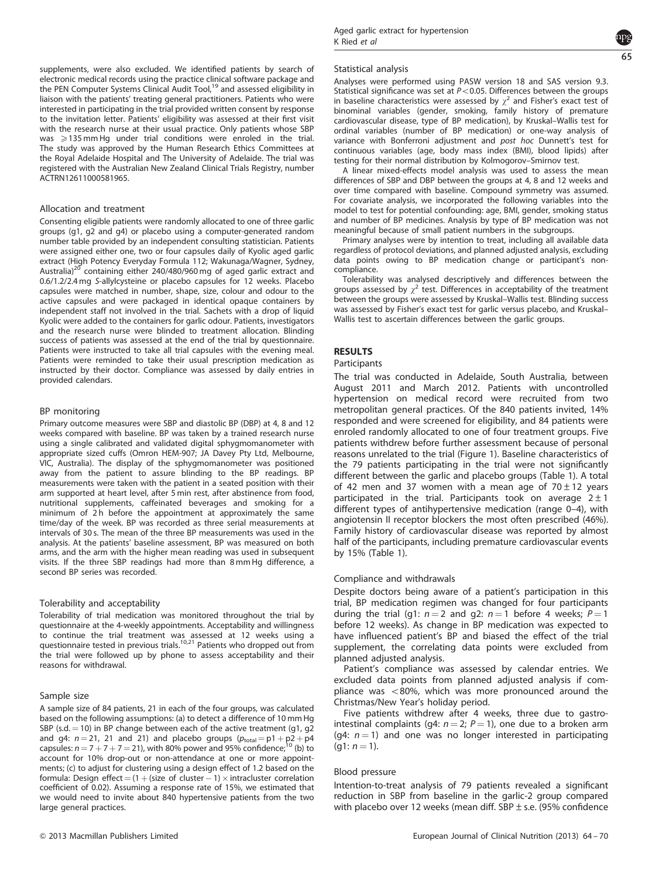supplements, were also excluded. We identified patients by search of electronic medical records using the practice clinical software package and the PEN Computer Systems Clinical Audit Tool,<sup>[19](#page-6-0)</sup> and assessed eligibility in liaison with the patients' treating general practitioners. Patients who were interested in participating in the trial provided written consent by response to the invitation letter. Patients' eligibility was assessed at their first visit with the research nurse at their usual practice. Only patients whose SBP was  $\geqslant$  135 mm Hg under trial conditions were enroled in the trial. The study was approved by the Human Research Ethics Committees at the Royal Adelaide Hospital and The University of Adelaide. The trial was registered with the Australian New Zealand Clinical Trials Registry, number ACTRN12611000581965.

#### Allocation and treatment

Consenting eligible patients were randomly allocated to one of three garlic groups (g1, g2 and g4) or placebo using a computer-generated random number table provided by an independent consulting statistician. Patients were assigned either one, two or four capsules daily of Kyolic aged garlic extract (High Potency Everyday Formula 112; Wakunaga/Wagner, Sydney, Australia)<sup>[20](#page-6-0)</sup> containing either 240/480/960 mg of aged garlic extract and 0.6/1.2/2.4 mg S-allylcysteine or placebo capsules for 12 weeks. Placebo capsules were matched in number, shape, size, colour and odour to the active capsules and were packaged in identical opaque containers by independent staff not involved in the trial. Sachets with a drop of liquid Kyolic were added to the containers for garlic odour. Patients, investigators and the research nurse were blinded to treatment allocation. Blinding success of patients was assessed at the end of the trial by questionnaire. Patients were instructed to take all trial capsules with the evening meal. Patients were reminded to take their usual prescription medication as instructed by their doctor. Compliance was assessed by daily entries in provided calendars.

#### BP monitoring

Primary outcome measures were SBP and diastolic BP (DBP) at 4, 8 and 12 weeks compared with baseline. BP was taken by a trained research nurse using a single calibrated and validated digital sphygmomanometer with appropriate sized cuffs (Omron HEM-907; JA Davey Pty Ltd, Melbourne, VIC, Australia). The display of the sphygmomanometer was positioned away from the patient to assure blinding to the BP readings. BP measurements were taken with the patient in a seated position with their arm supported at heart level, after 5 min rest, after abstinence from food, nutritional supplements, caffeinated beverages and smoking for a minimum of 2h before the appointment at approximately the same time/day of the week. BP was recorded as three serial measurements at intervals of 30 s. The mean of the three BP measurements was used in the analysis. At the patients' baseline assessment, BP was measured on both arms, and the arm with the higher mean reading was used in subsequent visits. If the three SBP readings had more than 8 mm Hg difference, a second BP series was recorded.

#### Tolerability and acceptability

Tolerability of trial medication was monitored throughout the trial by questionnaire at the 4-weekly appointments. Acceptability and willingness to continue the trial treatment was assessed at 12 weeks using a questionnaire tested in previous trials.<sup>[10,21](#page-6-0)</sup> Patients who dropped out from the trial were followed up by phone to assess acceptability and their reasons for withdrawal.

#### Sample size

A sample size of 84 patients, 21 in each of the four groups, was calculated based on the following assumptions: (a) to detect a difference of 10 mm Hg SBP (s.d.  $=$  10) in BP change between each of the active treatment (g1, g2 and g4:  $n = 21$ , 21 and 21) and placebo groups  $(p_{total} = p1 + p2 + p4$ capsules:  $n = 7 + 7 + 7 = 21$ ), with 80% power and 95% confidence;<sup>[10](#page-6-0)</sup> (b) to account for 10% drop-out or non-attendance at one or more appointments; (c) to adjust for clustering using a design effect of 1.2 based on the formula: Design effect  $=$  (1  $+$  (size of cluster  $-$  1)  $\times$  intracluster correlation coefficient of 0.02). Assuming a response rate of 15%, we estimated that we would need to invite about 840 hypertensive patients from the two large general practices.

#### Statistical analysis

Analyses were performed using PASW version 18 and SAS version 9.3. Statistical significance was set at  $P < 0.05$ . Differences between the groups in baseline characteristics were assessed by  $\chi^2$  and Fisher's exact test of binominal variables (gender, smoking, family history of premature cardiovascular disease, type of BP medication), by Kruskal–Wallis test for ordinal variables (number of BP medication) or one-way analysis of variance with Bonferroni adjustment and post hoc Dunnett's test for continuous variables (age, body mass index (BMI), blood lipids) after testing for their normal distribution by Kolmogorov–Smirnov test.

A linear mixed-effects model analysis was used to assess the mean differences of SBP and DBP between the groups at 4, 8 and 12 weeks and over time compared with baseline. Compound symmetry was assumed. For covariate analysis, we incorporated the following variables into the model to test for potential confounding: age, BMI, gender, smoking status and number of BP medicines. Analysis by type of BP medication was not meaningful because of small patient numbers in the subgroups.

Primary analyses were by intention to treat, including all available data regardless of protocol deviations, and planned adjusted analysis, excluding data points owing to BP medication change or participant's noncompliance.

Tolerability was analysed descriptively and differences between the groups assessed by  $\gamma^2$  test. Differences in acceptability of the treatment between the groups were assessed by Kruskal–Wallis test. Blinding success was assessed by Fisher's exact test for garlic versus placebo, and Kruskal– Wallis test to ascertain differences between the garlic groups.

# RESULTS

#### Participants

The trial was conducted in Adelaide, South Australia, between August 2011 and March 2012. Patients with uncontrolled hypertension on medical record were recruited from two metropolitan general practices. Of the 840 patients invited, 14% responded and were screened for eligibility, and 84 patients were enroled randomly allocated to one of four treatment groups. Five patients withdrew before further assessment because of personal reasons unrelated to the trial [\(Figure 1\)](#page-2-0). Baseline characteristics of the 79 patients participating in the trial were not significantly different between the garlic and placebo groups ([Table 1\)](#page-3-0). A total of 42 men and 37 women with a mean age of  $70 \pm 12$  years participated in the trial. Participants took on average  $2 \pm 1$ different types of antihypertensive medication (range 0–4), with angiotensin II receptor blockers the most often prescribed (46%). Family history of cardiovascular disease was reported by almost half of the participants, including premature cardiovascular events by 15% ([Table 1\)](#page-3-0).

#### Compliance and withdrawals

Despite doctors being aware of a patient's participation in this trial, BP medication regimen was changed for four participants during the trial (g1:  $n = 2$  and g2:  $n = 1$  before 4 weeks;  $P = 1$ before 12 weeks). As change in BP medication was expected to have influenced patient's BP and biased the effect of the trial supplement, the correlating data points were excluded from planned adjusted analysis.

Patient's compliance was assessed by calendar entries. We excluded data points from planned adjusted analysis if compliance was  $<$ 80%, which was more pronounced around the Christmas/New Year's holiday period.

Five patients withdrew after 4 weeks, three due to gastrointestinal complaints (g4:  $n = 2$ ;  $P = 1$ ), one due to a broken arm (g4:  $n = 1$ ) and one was no longer interested in participating  $(q1: n = 1).$ 

#### Blood pressure

Intention-to-treat analysis of 79 patients revealed a significant reduction in SBP from baseline in the garlic-2 group compared with placebo over 12 weeks (mean diff. SBP  $\pm$  s.e. (95% confidence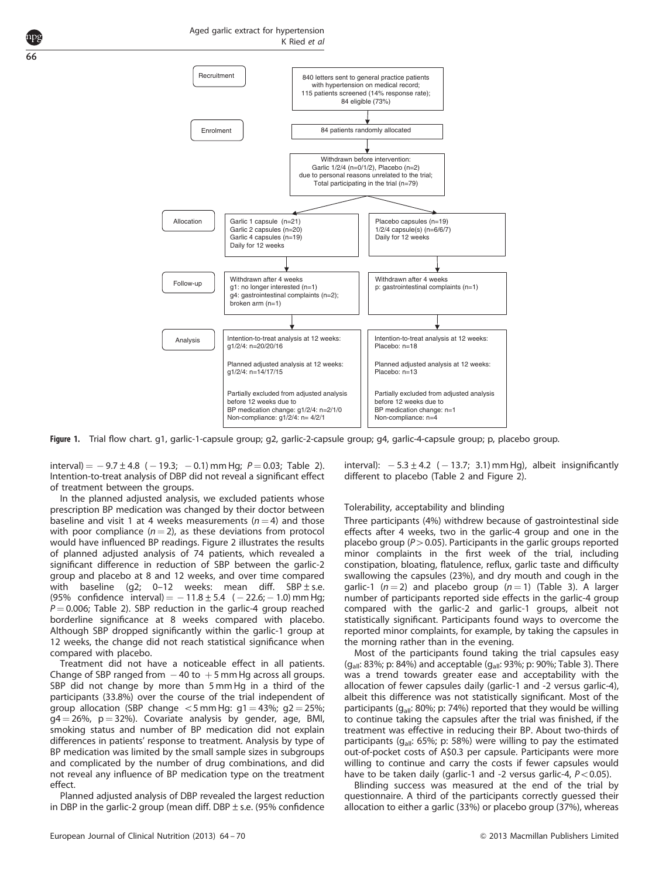<span id="page-2-0"></span>

Figure 1. Trial flow chart. g1, garlic-1-capsule group; g2, garlic-2-capsule group; g4, garlic-4-capsule group; p, placebo group.

 $\text{interval}$  =  $-9.7 \pm 4.8$  ( $-19.3$ ;  $-0.1$ ) mm Hg;  $P = 0.03$ ; [Table 2](#page-4-0)). Intention-to-treat analysis of DBP did not reveal a significant effect of treatment between the groups.

In the planned adjusted analysis, we excluded patients whose prescription BP medication was changed by their doctor between baseline and visit 1 at 4 weeks measurements ( $n = 4$ ) and those with poor compliance  $(n = 2)$ , as these deviations from protocol would have influenced BP readings. [Figure 2](#page-4-0) illustrates the results of planned adjusted analysis of 74 patients, which revealed a significant difference in reduction of SBP between the garlic-2 group and placebo at 8 and 12 weeks, and over time compared with baseline (q2; 0–12 weeks: mean diff. SBP $\pm$ s.e. (95% confidence interval)  $=$   $-11.8 \pm 5.4$  ( $-22.6$ ;  $-1.0$ ) mm Hg;  $P = 0.006$ ; [Table 2\)](#page-4-0). SBP reduction in the garlic-4 group reached borderline significance at 8 weeks compared with placebo. Although SBP dropped significantly within the garlic-1 group at 12 weeks, the change did not reach statistical significance when compared with placebo.

Treatment did not have a noticeable effect in all patients. Change of SBP ranged from  $-40$  to  $+5$  mm Hg across all groups. SBP did not change by more than 5 mm Hg in a third of the participants (33.8%) over the course of the trial independent of group allocation (SBP change  $<$  5 mm Hg: g1 = 43%; g2 = 25%;  $q4 = 26\%$ ,  $p = 32\%$ ). Covariate analysis by gender, age, BMI, smoking status and number of BP medication did not explain differences in patients' response to treatment. Analysis by type of BP medication was limited by the small sample sizes in subgroups and complicated by the number of drug combinations, and did not reveal any influence of BP medication type on the treatment effect.

Planned adjusted analysis of DBP revealed the largest reduction in DBP in the garlic-2 group (mean diff. DBP  $\pm$  s.e. (95% confidence

interval):  $-5.3 \pm 4.2$  ( $-13.7$ ; 3.1) mm Hg), albeit insignificantly different to placebo [\(Table 2](#page-4-0) and [Figure 2\)](#page-4-0).

#### Tolerability, acceptability and blinding

Three participants (4%) withdrew because of gastrointestinal side effects after 4 weeks, two in the garlic-4 group and one in the placebo group ( $P > 0.05$ ). Participants in the garlic groups reported minor complaints in the first week of the trial, including constipation, bloating, flatulence, reflux, garlic taste and difficulty swallowing the capsules (23%), and dry mouth and cough in the garlic-1 ( $n = 2$ ) and placebo group ( $n = 1$ ) ([Table 3\)](#page-5-0). A larger number of participants reported side effects in the garlic-4 group compared with the garlic-2 and garlic-1 groups, albeit not statistically significant. Participants found ways to overcome the reported minor complaints, for example, by taking the capsules in the morning rather than in the evening.

Most of the participants found taking the trial capsules easy (g<sub>all</sub>: 83%; p: 84%) and acceptable (g<sub>all</sub>: 93%; p: 90%; [Table 3\)](#page-5-0). There was a trend towards greater ease and acceptability with the allocation of fewer capsules daily (garlic-1 and -2 versus garlic-4), albeit this difference was not statistically significant. Most of the participants ( $q_{all}$ : 80%; p: 74%) reported that they would be willing to continue taking the capsules after the trial was finished, if the treatment was effective in reducing their BP. About two-thirds of participants ( $g_{all}$ : 65%; p: 58%) were willing to pay the estimated out-of-pocket costs of A\$0.3 per capsule. Participants were more willing to continue and carry the costs if fewer capsules would have to be taken daily (garlic-1 and -2 versus garlic-4,  $P < 0.05$ ).

Blinding success was measured at the end of the trial by questionnaire. A third of the participants correctly guessed their allocation to either a garlic (33%) or placebo group (37%), whereas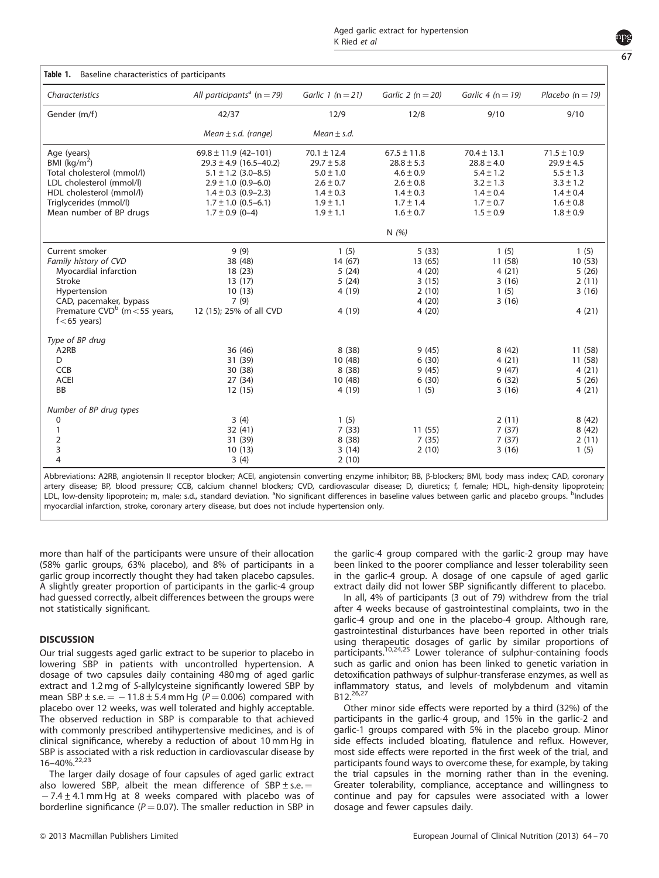<span id="page-3-0"></span>

| Characteristics                                      | All participants <sup>a</sup> (n = 79) | Garlic 1 ( $n = 21$ ) | Garlic 2 ( $n = 20$ ) | Garlic 4 ( $n = 19$ ) | Placebo $(n = 19)$ |
|------------------------------------------------------|----------------------------------------|-----------------------|-----------------------|-----------------------|--------------------|
| Gender (m/f)                                         | 42/37                                  | 12/9                  | 12/8                  | 9/10                  | 9/10               |
|                                                      | Mean $\pm$ s.d. (range)                | Mean $\pm$ s.d.       |                       |                       |                    |
| Age (years)                                          | $69.8 \pm 11.9$ (42-101)               | $70.1 \pm 12.4$       | $67.5 \pm 11.8$       | $70.4 \pm 13.1$       | $71.5 \pm 10.9$    |
| BMI $(kg/m^2)$                                       | $29.3 \pm 4.9$ (16.5-40.2)             | $29.7 \pm 5.8$        | $28.8 \pm 5.3$        | $28.8 \pm 4.0$        | $29.9 \pm 4.5$     |
| Total cholesterol (mmol/l)                           | $5.1 \pm 1.2$ (3.0-8.5)                | $5.0 \pm 1.0$         | $4.6 \pm 0.9$         | $5.4 \pm 1.2$         | $5.5 \pm 1.3$      |
| LDL cholesterol (mmol/l)                             | $2.9 \pm 1.0$ (0.9–6.0)                | $2.6 \pm 0.7$         | $2.6 \pm 0.8$         | $3.2 \pm 1.3$         | $3.3 \pm 1.2$      |
| HDL cholesterol (mmol/l)                             | $1.4 \pm 0.3$ (0.9-2.3)                | $1.4 \pm 0.3$         | $1.4 \pm 0.3$         | $1.4 \pm 0.4$         | $1.4 \pm 0.4$      |
| Triglycerides (mmol/l)                               | $1.7 \pm 1.0$ (0.5–6.1)                | $1.9 \pm 1.1$         | $1.7 \pm 1.4$         | $1.7 \pm 0.7$         | $1.6 \pm 0.8$      |
| Mean number of BP drugs                              | $1.7 \pm 0.9$ (0-4)                    | $1.9 \pm 1.1$         | $1.6 \pm 0.7$         | $1.5 \pm 0.9$         | $1.8 \pm 0.9$      |
|                                                      |                                        |                       | N $(%)$               |                       |                    |
| Current smoker                                       | 9(9)                                   | 1(5)                  | 5(33)                 | 1(5)                  | 1(5)               |
| Family history of CVD                                | 38 (48)                                | 14 (67)               | 13 (65)               | 11 (58)               | 10(53)             |
| Myocardial infarction                                | 18 (23)                                | 5(24)                 | 4(20)                 | 4(21)                 | 5(26)              |
| <b>Stroke</b>                                        | 13(17)                                 | 5(24)                 | 3(15)                 | 3(16)                 | 2(11)              |
| Hypertension                                         | 10(13)                                 | 4(19)                 | 2(10)                 | 1(5)                  | 3(16)              |
| CAD, pacemaker, bypass                               | 7(9)                                   |                       | 4(20)                 | 3(16)                 |                    |
| Premature $CVD^{b}$ (m < 55 years,<br>$f<$ 65 years) | 12 (15); 25% of all CVD                | 4(19)                 | 4(20)                 |                       | 4(21)              |
| Type of BP drug                                      |                                        |                       |                       |                       |                    |
| A <sub>2</sub> RB                                    | 36 (46)                                | 8(38)                 | 9(45)                 | 8(42)                 | 11 (58)            |

| Abbreviations: A2RB, angiotensin II receptor blocker; ACEI, angiotensin converting enzyme inhibitor; BB, β-blockers; BMI, body mass index; CAD, coronary                             |
|--------------------------------------------------------------------------------------------------------------------------------------------------------------------------------------|
| artery disease; BP, blood pressure; CCB, calcium channel blockers; CVD, cardiovascular disease; D, diuretics; f, female; HDL, high-density lipoprotein;                              |
| LDL, low-density lipoprotein; m, male; s.d., standard deviation. <sup>a</sup> No significant differences in baseline values between garlic and placebo groups. <sup>D</sup> Includes |
| myocardial infarction, stroke, coronary artery disease, but does not include hypertension only.                                                                                      |

A2RB 36 (46) 8 (38) 9 (45) 8 (42) 11 (58) D 31 (39) 31 (39) 10 (48) 6 (30) 4 (21) 11 (58) CCB 30 (38) 30 (38) 8 (38) 8 (38) 9 (45) 9 (47) 4 (21) ACEI 27 (34) 27 (34) 10 (48) 6 (30) 6 (32) 5 (26) BB 12 (15) 4 (19) 1 (5) 3 (16) 4 (21)

0 3 (4) 3 (4)  $(1)$  3 (4)  $(3)$   $(4)$   $(5)$   $(1)$   $(8)$   $(42)$ 1 32 (41) 3 (41) 7 (33) 11 (55) 7 (37) 8 (42) 2 31 (39) 8 (38) 7 (35) 7 (37) 2 (11) 3 10 (13) 3 (14) 2 (10) 3 (16) 3 (16) 1 (5)

more than half of the participants were unsure of their allocation (58% garlic groups, 63% placebo), and 8% of participants in a garlic group incorrectly thought they had taken placebo capsules. A slightly greater proportion of participants in the garlic-4 group had guessed correctly, albeit differences between the groups were not statistically significant.

4 3 (4) 2 (10)

### **DISCUSSION**

Number of BP drug types

Our trial suggests aged garlic extract to be superior to placebo in lowering SBP in patients with uncontrolled hypertension. A dosage of two capsules daily containing 480 mg of aged garlic extract and 1.2 mg of S-allylcysteine significantly lowered SBP by mean SBP  $\pm$  s.e.  $=$   $-$  11.8  $\pm$  5.4 mm Hg ( $P = 0.006$ ) compared with placebo over 12 weeks, was well tolerated and highly acceptable. The observed reduction in SBP is comparable to that achieved with commonly prescribed antihypertensive medicines, and is of clinical significance, whereby a reduction of about 10 mm Hg in SBP is associated with a risk reduction in cardiovascular disease by 16–40%.[22,23](#page-6-0)

The larger daily dosage of four capsules of aged garlic extract also lowered SBP, albeit the mean difference of SBP  $\pm$  s.e.  $=$  $-7.4 \pm 4.1$  mm Hg at 8 weeks compared with placebo was of borderline significance ( $P = 0.07$ ). The smaller reduction in SBP in the garlic-4 group compared with the garlic-2 group may have been linked to the poorer compliance and lesser tolerability seen in the garlic-4 group. A dosage of one capsule of aged garlic extract daily did not lower SBP significantly different to placebo.

In all, 4% of participants (3 out of 79) withdrew from the trial after 4 weeks because of gastrointestinal complaints, two in the garlic-4 group and one in the placebo-4 group. Although rare, gastrointestinal disturbances have been reported in other trials using therapeutic dosages of garlic by similar proportions of participants.[10,24,25](#page-6-0) Lower tolerance of sulphur-containing foods such as garlic and onion has been linked to genetic variation in detoxification pathways of sulphur-transferase enzymes, as well as inflammatory status, and levels of molybdenum and vitamin B12.[26,27](#page-6-0)

Other minor side effects were reported by a third (32%) of the participants in the garlic-4 group, and 15% in the garlic-2 and garlic-1 groups compared with 5% in the placebo group. Minor side effects included bloating, flatulence and reflux. However, most side effects were reported in the first week of the trial, and participants found ways to overcome these, for example, by taking the trial capsules in the morning rather than in the evening. Greater tolerability, compliance, acceptance and willingness to continue and pay for capsules were associated with a lower dosage and fewer capsules daily.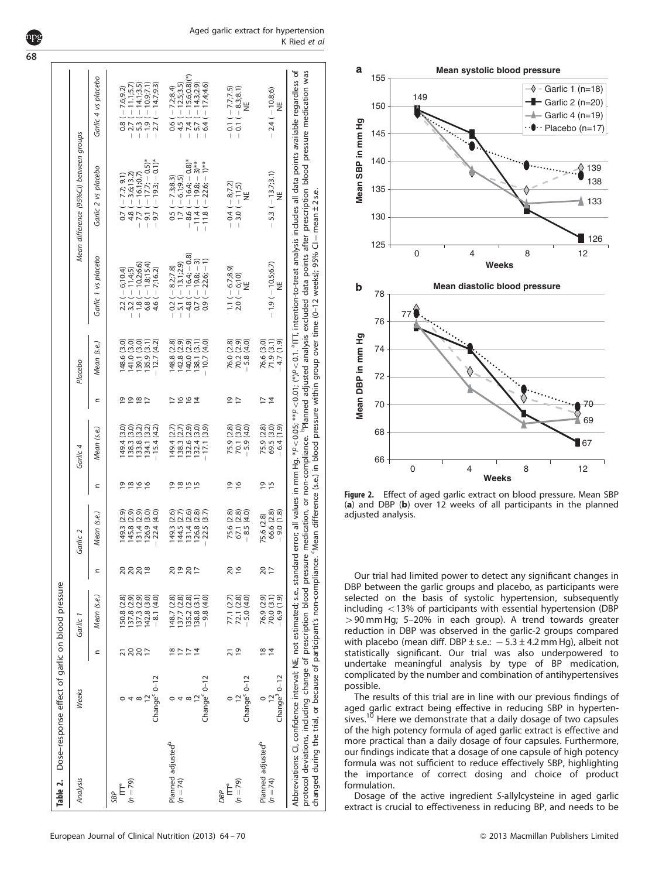| Table 2.                      | Dose-response effect of garlic on blood pressure                   |                    |                          |                 |              |                                           |                            |                |                                           |                                                                                                                                                                             |                                                                                                                                                                                                                       |                                     |
|-------------------------------|--------------------------------------------------------------------|--------------------|--------------------------|-----------------|--------------|-------------------------------------------|----------------------------|----------------|-------------------------------------------|-----------------------------------------------------------------------------------------------------------------------------------------------------------------------------|-----------------------------------------------------------------------------------------------------------------------------------------------------------------------------------------------------------------------|-------------------------------------|
| Analysis                      | Weeks                                                              |                    | Garlic                   |                 | Garlic 2     |                                           | Garlic 4                   |                | Placebo                                   |                                                                                                                                                                             | Mean difference (95%Cl) between groups                                                                                                                                                                                |                                     |
|                               |                                                                    | Ξ                  | Mean (s.e.)              |                 | Mean (s.e.)  | Ξ                                         | Mean (s.e.,                | Ξ              | Mean (s.e.)                               | Garlic 1 vs placebo                                                                                                                                                         | Garlic 2 vs placebo                                                                                                                                                                                                   | Garlic 4 vs placebo                 |
| SBP                           |                                                                    |                    |                          |                 |              |                                           |                            |                |                                           |                                                                                                                                                                             |                                                                                                                                                                                                                       |                                     |
|                               |                                                                    | <u> ភ ន ន &gt;</u> | 50.8 (2.8)               | 2222            | 149.3 (2.9)  | $\frac{9}{2}$ $\frac{8}{2}$ $\frac{6}{2}$ | (49.4(3.0)                 |                | 48.6 (3.0)                                | $-3.2 (-6, 10.4)$<br>-3.2 (-11.4;5)<br>$-6,10.4$                                                                                                                            | $0.7(-7.7; 9.1)$                                                                                                                                                                                                      | $-7.6;9.2$<br>$\frac{8}{10}$        |
| $(n = 79)$                    | 4                                                                  |                    | 137.8 (2.9)              |                 | 145.8 (2.9)  |                                           | 138.3(3.0)                 |                |                                           |                                                                                                                                                                             | $4.8(-3.6, 13.2)$                                                                                                                                                                                                     | $(-11.1, 5.7)$<br>$-2.7($           |
|                               | $^{\circ}$                                                         |                    | 37.3(2.9)                |                 | 131.4 (2.9)  |                                           | (3.2)<br>133.8(            | 00001          |                                           |                                                                                                                                                                             |                                                                                                                                                                                                                       | $-14.1;3.5$<br>$-5.3$               |
|                               |                                                                    |                    | 142.8 (3.0)              |                 | 126.9 (3.0)  |                                           | 134.1 (3.2)                |                | 141.0 (3.0)<br>139.1 (3.0)<br>135.9 (3.1) | $-1.8 (-10.26.6)$<br>$6.8 (-1.8)15.4)$                                                                                                                                      | $-7.7 (-16.1;0.7)$<br>- 9.1 (-17.7; -0.5)*                                                                                                                                                                            | $(-10.9, 7.1)$<br>$-1.9($           |
|                               | Change <sup>c</sup> 0-12                                           |                    | $-8.1(4.0)$              |                 | $-22.4(4.0)$ |                                           | $-15.4(4.2)$               |                | (4.2)<br>$-12.7$                          | $4.6(-7,16.2)$                                                                                                                                                              | $9.7(-19.3,-0.1)^*$<br>$\overline{\phantom{a}}$                                                                                                                                                                       | $2.7 (-14.7, 9.3)$                  |
| Planned adjusted <sup>b</sup> |                                                                    |                    | 48.7(2.8)                |                 | (2.6)        |                                           | 149.4                      |                | (2.8)<br>148.8                            | $-0.2(-8.2, 7.8)$                                                                                                                                                           | $0.5 (-7.3, 8.3)$                                                                                                                                                                                                     | $(-7.2, 8.4)$<br>$\frac{6}{6}$      |
| $(n = 74)$                    | 4                                                                  | <b>뜨드</b>          | 37.7 (2.8)               | 29927           | 144.5(2.7)   |                                           | (2.7)<br>138.3             | レてんち           | 142.8 (2.9)<br>140.0 (2.9)                | $(-13.1;2.9)$<br>$-5.1$                                                                                                                                                     | $1.7(-6.1, 9.5)$                                                                                                                                                                                                      | $-4.5(-12.5,3.5)$                   |
|                               | $^{\circ}$                                                         |                    | 35.2 (2.8)               |                 | 31.4(2.6)    |                                           | 132.6 (2.9)<br>132.4 (3.0) |                |                                           |                                                                                                                                                                             | $-8.6(-16.4; -0.8)^*$                                                                                                                                                                                                 | $-15.6,0.8$ <sup>*</sup><br>$-7.4($ |
|                               |                                                                    | $\overline{4}$     | 138.8 (3.1)              |                 | 126.8 (2.8)  |                                           |                            |                | 138.1(3.1)                                | $-4.8$ ( $-16.4$ ; $-0.8$ )<br>0.7 ( $-19.8$ ; $-3$ )                                                                                                                       | $-11.4(-19.8,-3)$ **                                                                                                                                                                                                  | $(-14.3;2.9)$<br>$-5.7($            |
|                               | Change <sup>c</sup> 0-12                                           |                    | $-9.8(4.0)$              |                 | $-22.5(3.7)$ |                                           | $-17.1(3.9)$               |                | (4.0)<br>$-10.7$                          | $(-22.6,-1)$<br>0.9                                                                                                                                                         | $-11.8(-22.6-1)$ <sup>***</sup>                                                                                                                                                                                       | $(-17.4.4.6)$<br>6.4 <sup>1</sup>   |
| DBP                           |                                                                    |                    |                          |                 |              |                                           |                            |                |                                           |                                                                                                                                                                             |                                                                                                                                                                                                                       |                                     |
|                               |                                                                    | ភ                  |                          | $\frac{20}{6}$  | 75.6 (2.8)   |                                           | 75.9 (2.8)                 | 으는             | 76.0 (2.8)                                | $1.1(-6.7, 8.9)$                                                                                                                                                            | $-0.4(-8.7.2)$                                                                                                                                                                                                        | $-0.1(-7.7;7.5)$                    |
| $(n = 79)$                    |                                                                    | $\overline{9}$     | 77.1 (2.7)<br>72.1 (2.8) |                 | 67.1 (2.8)   | <u>ہ و</u>                                | 70.1 (3.0)                 |                | $70.2(2.9)$<br>-5.8 $(4.0)$               | $(-6, 10)$<br>NE<br>2.0(                                                                                                                                                    | $3.0(-11,5)$                                                                                                                                                                                                          | $-0.1(-8.3, 8.1)$                   |
|                               | Change <sup>c</sup> 0-12                                           |                    | $-5.0(4.0)$              |                 | $-8.5(4.0)$  |                                           | $-5.9(4.0)$                |                |                                           |                                                                                                                                                                             |                                                                                                                                                                                                                       | ¥                                   |
| Planned adjusted <sup>b</sup> |                                                                    |                    |                          |                 | 75.6 (2.8)   |                                           |                            | $\overline{1}$ |                                           |                                                                                                                                                                             |                                                                                                                                                                                                                       |                                     |
| $(n = 74)$                    |                                                                    | $\frac{1}{8}$      | 76.9 (2.9)<br>70.0 (3.1) | $\frac{20}{17}$ | 66.6 (2.8)   | <b>915</b>                                | 75.9 (2.8)<br>69.5 (3.0)   | $\bar{4}$      | 76.6 (3.0)<br>71.9 (3.1)                  | $-1.9(-10.5,6.7)$                                                                                                                                                           | $-5.3(-13.7;3.1)$                                                                                                                                                                                                     | $-2.4(-10.8,6)$                     |
|                               | $Change3 0-12$                                                     |                    | $-6.9(1.9)$              |                 | $-9.0(1.8)$  |                                           | $-6.4(1.9)$                |                | $-4.7(1.9)$                               | ¥                                                                                                                                                                           | ¥                                                                                                                                                                                                                     | ¥                                   |
|                               |                                                                    |                    |                          |                 |              |                                           |                            |                |                                           |                                                                                                                                                                             | Abbreviations: CI, confidence interval; NE, not estimated; s.e., standard error; all values in mm Hg. *P<0.05; **P<0.01; (*)P<0.1. °ITT, intention-to-treat analysis includes all data points available regardless of |                                     |
|                               | protocol deviations, including change of prescription blood pressu |                    |                          |                 |              |                                           |                            |                |                                           |                                                                                                                                                                             | re medication, or non-compliance. <sup>P</sup> lanned adjusted analysis excluded data points after prescription blood pressure medication was                                                                         |                                     |
|                               |                                                                    |                    |                          |                 |              |                                           |                            |                |                                           | changed during the trial, or because of participant's non-compliance. 'Mean difference (s.e.) in blood pressure within group over time (0-12 weeks); 95% CI = mean ± 2 s.e. |                                                                                                                                                                                                                       |                                     |
|                               |                                                                    |                    |                          |                 |              |                                           |                            |                |                                           |                                                                                                                                                                             |                                                                                                                                                                                                                       |                                     |



Figure 2. Effect of aged garlic extract on blood pressure. Mean SBP (a) and DBP (b) over 12 weeks of all participants in the planned adjusted analysis.

Our trial had limited power to detect any significant changes in DBP between the garlic groups and placebo, as participants were selected on the basis of systolic hypertension, subsequently including  $<$  13% of participants with essential hypertension (DBP  $>$  90 mm Hg; 5–20% in each group). A trend towards greater reduction in DBP was observed in the garlic-2 groups compared with placebo (mean diff. DBP  $\pm$  s.e.:  $-5.3 \pm 4.2$  mm Hg), albeit not statistically significant. Our trial was also underpowered to undertake meaningful analysis by type of BP medication, complicated by the number and combination of antihypertensives possible.

The results of this trial are in line with our previous findings of aged garlic extract being effective in reducing SBP in hyperten-<br>sives.<sup>10</sup> Here we demonstrate that a daily dosage of two capsules of the high potency formula of aged garlic extract is effective and more practical than a daily dosage of four capsules. Furthermore, our findings indicate that a dosage of one capsule of high potency formula was not sufficient to reduce effectively SBP, highlighting the importance of correct dosing and choice of product formulation.

Dosage of the active ingredient S-allylcysteine in aged garlic extract is crucial to effectiveness in reducing BP, and needs to be

# <span id="page-4-0"></span>68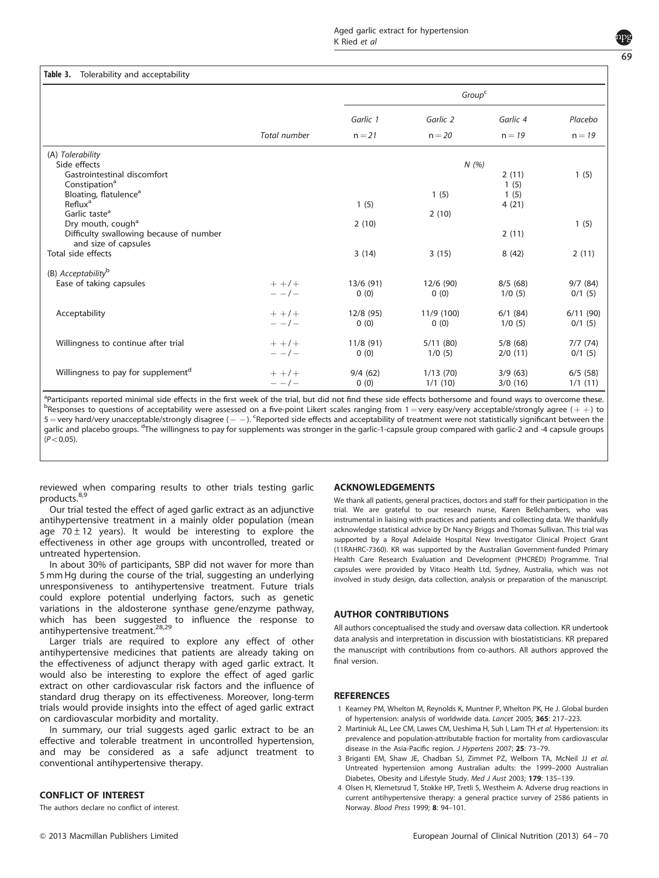# <span id="page-5-0"></span>Table 3. Tolerability and acceptability

| Garlic 1<br>Garlic 2<br>Garlic 4<br>Total number<br>$n = 21$<br>$n = 20$<br>$n = 19$<br>(A) Tolerability<br>Side effects<br>N(%)<br>Gastrointestinal discomfort<br>2(11)<br>Constipation <sup>a</sup><br>1(5)<br>Bloating, flatulence <sup>a</sup><br>1(5)<br>1(5)<br>Reflux <sup>a</sup><br>1(5)<br>4(21)<br>Garlic taste <sup>a</sup><br>2(10)<br>Dry mouth, cough <sup>a</sup><br>2(10)<br>Difficulty swallowing because of number<br>2(11) | Placebo<br>$n = 19$ |
|------------------------------------------------------------------------------------------------------------------------------------------------------------------------------------------------------------------------------------------------------------------------------------------------------------------------------------------------------------------------------------------------------------------------------------------------|---------------------|
|                                                                                                                                                                                                                                                                                                                                                                                                                                                |                     |
|                                                                                                                                                                                                                                                                                                                                                                                                                                                |                     |
|                                                                                                                                                                                                                                                                                                                                                                                                                                                |                     |
|                                                                                                                                                                                                                                                                                                                                                                                                                                                |                     |
|                                                                                                                                                                                                                                                                                                                                                                                                                                                | 1(5)                |
|                                                                                                                                                                                                                                                                                                                                                                                                                                                |                     |
|                                                                                                                                                                                                                                                                                                                                                                                                                                                |                     |
|                                                                                                                                                                                                                                                                                                                                                                                                                                                |                     |
|                                                                                                                                                                                                                                                                                                                                                                                                                                                | 1(5)                |
|                                                                                                                                                                                                                                                                                                                                                                                                                                                |                     |
| and size of capsules                                                                                                                                                                                                                                                                                                                                                                                                                           |                     |
| Total side effects<br>3(14)<br>3(15)<br>8(42)                                                                                                                                                                                                                                                                                                                                                                                                  | 2(11)               |
|                                                                                                                                                                                                                                                                                                                                                                                                                                                |                     |
| (B) Acceptability <sup>b</sup>                                                                                                                                                                                                                                                                                                                                                                                                                 |                     |
| Ease of taking capsules<br>$+ +/ +$<br>13/6(91)<br>12/6 (90)<br>8/5(68)                                                                                                                                                                                                                                                                                                                                                                        | 9/7(84)             |
| $- -1$<br>0(0)<br>0(0)<br>1/0(5)                                                                                                                                                                                                                                                                                                                                                                                                               | 0/1(5)              |
| 12/8 (95)<br>11/9 (100)<br>Acceptability<br>$+ +/ +$<br>6/1(84)                                                                                                                                                                                                                                                                                                                                                                                | 6/11(90)            |
| $- - 1$<br>0(0)<br>0(0)<br>1/0(5)                                                                                                                                                                                                                                                                                                                                                                                                              | 0/1(5)              |
|                                                                                                                                                                                                                                                                                                                                                                                                                                                |                     |
| Willingness to continue after trial<br>11/8(91)<br>5/11(80)<br>5/8(68)<br>$+ + 1 +$                                                                                                                                                                                                                                                                                                                                                            | 7/7(74)             |
| $- -1$<br>0(0)<br>1/0(5)<br>2/0(11)                                                                                                                                                                                                                                                                                                                                                                                                            | 0/1(5)              |
| Willingness to pay for supplement <sup>d</sup><br>1/13(70)<br>$+ + 1$<br>9/4(62)<br>3/9(63)                                                                                                                                                                                                                                                                                                                                                    | 6/5(58)             |
| 1/1(10)<br>$- -1$<br>0(0)<br>3/0(16)                                                                                                                                                                                                                                                                                                                                                                                                           | 1/1(11)             |

<sup>a</sup> Participants reported minimal side effects in the first week of the trial, but did not find these side effects bothersome and found ways to overcome these.<br>Peocropsoc to quotions of accontability ware assocod on a five <sup>B</sup>Responses to questions of acceptability were assessed on a five-point Likert scales ranging from 1 = very easy/very acceptable/strongly agree (++) to 5 = very hard/very unacceptable/strongly disagree ( - - ). Seported side effects and acceptability of treatment were not statistically significant between the garlic and placebo groups. <sup>d</sup>The willingness to pay for supplements was stronger in the garlic-1-capsule group compared with garlic-2 and -4 capsule groups  $(P < 0.05)$ .

reviewed when comparing results to other trials testing garlic products.<sup>[8,9](#page-6-0)</sup>

Our trial tested the effect of aged garlic extract as an adjunctive antihypertensive treatment in a mainly older population (mean age  $70 \pm 12$  years). It would be interesting to explore the effectiveness in other age groups with uncontrolled, treated or untreated hypertension.

In about 30% of participants, SBP did not waver for more than 5 mm Hg during the course of the trial, suggesting an underlying unresponsiveness to antihypertensive treatment. Future trials could explore potential underlying factors, such as genetic variations in the aldosterone synthase gene/enzyme pathway, which has been suggested to influence the response to<br>antihypertensive-treatment.<sup>[28,29](#page-6-0)</sup>

Larger trials are required to explore any effect of other antihypertensive medicines that patients are already taking on the effectiveness of adjunct therapy with aged garlic extract. It would also be interesting to explore the effect of aged garlic extract on other cardiovascular risk factors and the influence of standard drug therapy on its effectiveness. Moreover, long-term trials would provide insights into the effect of aged garlic extract on cardiovascular morbidity and mortality.

In summary, our trial suggests aged garlic extract to be an effective and tolerable treatment in uncontrolled hypertension, and may be considered as a safe adjunct treatment to conventional antihypertensive therapy.

#### CONFLICT OF INTEREST

The authors declare no conflict of interest.

#### ACKNOWLEDGEMENTS

We thank all patients, general practices, doctors and staff for their participation in the trial. We are grateful to our research nurse, Karen Bellchambers, who was instrumental in liaising with practices and patients and collecting data. We thankfully acknowledge statistical advice by Dr Nancy Briggs and Thomas Sullivan. This trial was supported by a Royal Adelaide Hospital New Investigator Clinical Project Grant (11RAHRC-7360). KR was supported by the Australian Government-funded Primary Health Care Research Evaluation and Development (PHCRED) Programme. Trial capsules were provided by Vitaco Health Ltd, Sydney, Australia, which was not involved in study design, data collection, analysis or preparation of the manuscript.

#### AUTHOR CONTRIBUTIONS

All authors conceptualised the study and oversaw data collection. KR undertook data analysis and interpretation in discussion with biostatisticians. KR prepared the manuscript with contributions from co-authors. All authors approved the final version.

#### **REFERENCES**

- 1 Kearney PM, Whelton M, Reynolds K, Muntner P, Whelton PK, He J. Global burden of hypertension: analysis of worldwide data. Lancet 2005; 365: 217–223.
- 2 Martiniuk AL, Lee CM, Lawes CM, Ueshima H, Suh I, Lam TH et al. Hypertension: its prevalence and population-attributable fraction for mortality from cardiovascular disease in the Asia-Pacific region. J Hypertens 2007; 25: 73-79.
- 3 Briganti EM, Shaw JE, Chadban SJ, Zimmet PZ, Welborn TA, McNeil JJ et al. Untreated hypertension among Australian adults: the 1999–2000 Australian Diabetes, Obesity and Lifestyle Study. Med J Aust 2003; 179: 135–139.
- 4 Olsen H, Klemetsrud T, Stokke HP, Tretli S, Westheim A. Adverse drug reactions in current antihypertensive therapy: a general practice survey of 2586 patients in Norway. Blood Press 1999; 8: 94–101.